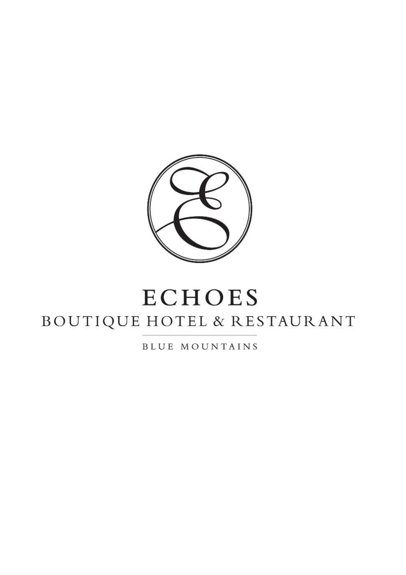

# **ECHOES** BOUTIQUE HOTEL & RESTAURANT

BLUE MOUNTAINS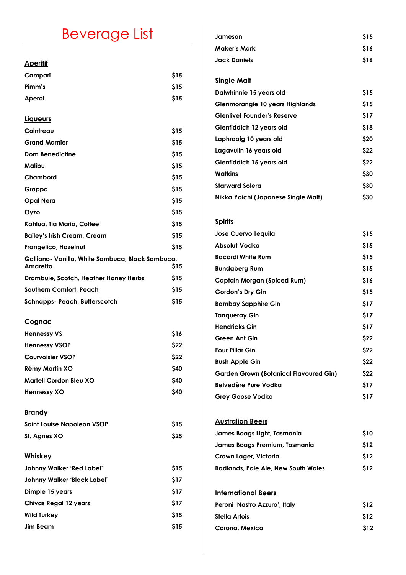## Beverage List

### **Aperitif**

| Campari                                                      | \$15 |
|--------------------------------------------------------------|------|
| Pimm's                                                       | \$15 |
| Aperol                                                       | \$15 |
|                                                              |      |
| Liqueurs                                                     |      |
| Cointreau                                                    | \$15 |
| <b>Grand Marnier</b>                                         | \$15 |
| <b>Dom Benedictine</b>                                       | \$15 |
| Malibu                                                       | \$15 |
| Chambord                                                     | \$15 |
| Grappa                                                       | \$15 |
| <b>Opal Nera</b>                                             | \$15 |
| Oyzo                                                         | \$15 |
| Kahlua, Tia Maria, Coffee                                    | \$15 |
| <b>Bailey's Irish Cream, Cream</b>                           | \$15 |
| Frangelico, Hazelnut                                         | \$15 |
| Galliano- Vanilla, White Sambuca, Black Sambuca,<br>Amaretto | \$15 |
| Drambuie, Scotch, Heather Honey Herbs                        | \$15 |
| Southern Comfort, Peach                                      | \$15 |
| Schnapps- Peach, Butterscotch                                | \$15 |
|                                                              |      |
| <u>Cognac</u>                                                |      |
| <b>Hennessy VS</b>                                           | \$16 |
| <b>Hennessy VSOP</b>                                         | \$22 |
| <b>Courvoisier VSOP</b>                                      | \$22 |
| Rémy Martin XO                                               | \$40 |
| <b>Martell Cordon Bleu XO</b>                                | \$40 |
| <b>Hennessy XO</b>                                           | \$40 |
|                                                              |      |
| <b>Brandy</b>                                                |      |
| <b>Saint Louise Napoleon VSOP</b>                            | \$15 |
| St. Agnes XO                                                 | \$25 |
| <b>Whiskey</b>                                               |      |
| Johnny Walker 'Red Label'                                    | \$15 |
| Johnny Walker 'Black Label'                                  | \$17 |
| Dimple 15 years                                              | \$17 |
| <b>Chivas Regal 12 years</b>                                 | \$17 |
| <b>Wild Turkey</b>                                           | \$15 |
| <b>Jim Beam</b>                                              | \$15 |
|                                                              |      |

| <b>S15</b> |
|------------|
| \$16       |
| \$16       |
|            |

## **Single Malt**

| Dalwhinnie 15 years old             | <b>S15</b> |
|-------------------------------------|------------|
| Glenmorangie 10 years Highlands     | <b>S15</b> |
| <b>Glenlivet Founder's Reserve</b>  | <b>S17</b> |
| Glenfiddich 12 years old            | <b>S18</b> |
| Laphroaig 10 years old              | <b>S20</b> |
| Lagavulin 16 years old              | <b>S22</b> |
| Glenfiddich 15 years old            | <b>S22</b> |
| <b>Watkins</b>                      | \$30       |
| <b>Starward Solera</b>              | \$30       |
| Nikka Yoichi (Japanese Single Malt) | \$30       |

## **Spirits**

| <b>Jose Cuervo Tequila</b>             | \$15       |
|----------------------------------------|------------|
| Absolut Vodka                          | \$15       |
| <b>Bacardi White Rum</b>               | <b>S15</b> |
| <b>Bundaberg Rum</b>                   | \$15       |
| Captain Morgan (Spiced Rum)            | \$16       |
| <b>Gordon's Dry Gin</b>                | <b>S15</b> |
| <b>Bombay Sapphire Gin</b>             | \$17       |
| <b>Tangueray Gin</b>                   | \$17       |
| <b>Hendricks Gin</b>                   | \$17       |
| Green Ant Gin                          | \$22       |
| <b>Four Pillar Gin</b>                 | \$22       |
| <b>Bush Apple Gin</b>                  | \$22       |
| Garden Grown (Botanical Flavoured Gin) | <b>S22</b> |
| Belvedère Pure Vodka                   | \$17       |
| <b>Grey Goose Vodka</b>                | S17        |

## **Australian Beers**

| James Boags Light, Tasmania                | \$10 |
|--------------------------------------------|------|
| James Boags Premium, Tasmania              | \$12 |
| Crown Lager, Victoria                      | \$12 |
| <b>Badlands, Pale Ale, New South Wales</b> | \$12 |

## **International Beers**

| Peroni 'Nastro Azzuro', Italy | <b>S12</b> |
|-------------------------------|------------|
| Stella Artois                 | <b>S12</b> |
| Corona, Mexico                | \$12       |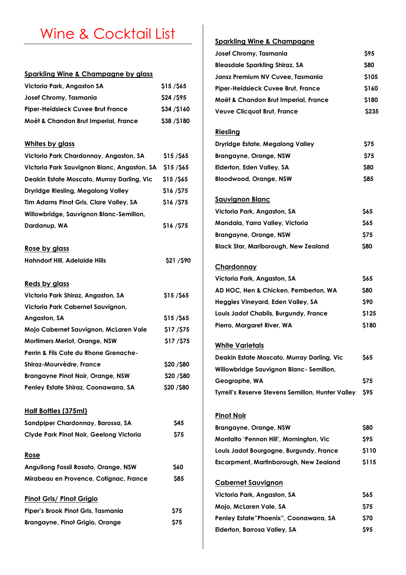## Wine & Cocktail List

#### **Sparkling Wine & Champagne by glass**

| Victoria Park, Angaston SA               | \$15/565   |
|------------------------------------------|------------|
| Josef Chromy, Tasmania                   | \$24/\$95  |
| <b>Piper-Heidsieck Cuvee Brut France</b> | \$34/\$160 |
| Moët & Chandon Brut Imperial, France     | \$38/\$180 |

#### **Whites by glass**

| Victoria Park Chardonnay, Angaston, SA      | <b>\$15/\$65</b>  |
|---------------------------------------------|-------------------|
| Victoria Park Sauvignon Blanc, Angaston, SA | $$15/$ \$65       |
| Deakin Estate Moscato, Murray Darling, Vic  | $$15/$ \$65       |
| Dryridge Riesling, Megalong Valley          | \$16/\$75         |
| Tim Adams Pinot Gris, Clare Valley, SA      | \$16/\$75         |
| Willowbridge, Sauvignon Blanc-Semillon,     |                   |
| Dardanup, WA                                | \$16/\$75         |
| <u>Rose by glass</u>                        |                   |
| <b>Hahndorf Hill, Adelaide Hills</b>        | \$21 /\$90        |
| <u>Reds by glass</u>                        |                   |
| Victoria Park Shiraz, Angaston, SA          | $$15/$ \$65       |
| Victoria Park Cabernet Sauvignon,           |                   |
| Angaston, SA                                | <b>\$15 /\$65</b> |
| Mojo Cabernet Sauvignon, McLaren Vale       | \$17/\$75         |
| <b>Mortimers Merlot, Orange, NSW</b>        | \$17/\$75         |
| Perrin & Fils Cote du Rhone Grenache-       |                   |
| Shiraz-Mourvèdre, France                    | <b>\$20 /\$80</b> |
| <b>Brangayne Pinot Noir, Orange, NSW</b>    | \$20/\$80         |
| Penley Estate Shiraz, Coonawarra, SA        | \$20 /\$80        |
| <u> Half Bottles (375ml)</u>                |                   |
| Sandpiper Chardonnay, Barossa, SA           | <b>\$45</b>       |
| Clyde Park Pinot Noir, Geelong Victoria     | \$75              |
| <u>Rose</u>                                 |                   |
| <b>Angullong Fossil Rosato, Orange, NSW</b> | \$60              |
| Mirabeau en Provence, Cotignac, France      | \$85              |
| <b>Pinot Gris/ Pinot Grigio</b>             |                   |
| Piper's Brook Pinot Gris, Tasmania          | \$75              |
| <b>Brangayne, Pinot Grigio, Orange</b>      | \$75              |

## **Sparkling Wine & Champagne**

| Josef Chromy, Tasmania                | <b>S95</b>  |
|---------------------------------------|-------------|
| <b>Bleasdale Sparkling Shiraz, SA</b> | <b>S80</b>  |
| Jansz Premium NV Cuvee, Tasmania      | \$105       |
| Piper-Heidsieck Cuvee Brut, France    | \$160       |
| Moët & Chandon Brut Imperial, France  | \$180       |
| <b>Veuve Clicquot Brut, France</b>    | <b>S235</b> |

#### **Riesling**

| Dryridge Estate, Megalong Valley | S75        |  |
|----------------------------------|------------|--|
| Brangayne, Orange, NSW           | S75        |  |
| Elderton, Eden Valley, SA        | <b>S80</b> |  |
| Bloodwood, Orange, NSW           | <b>S85</b> |  |

#### **Sauvignon Blanc**

| Victoria Park, Angaston, SA                 | <b>S65</b> |
|---------------------------------------------|------------|
| Mandala, Yarra Valley, Victoria             | <b>S65</b> |
| Brangayne, Orange, NSW                      | <b>S75</b> |
| <b>Black Star, Marlborough, New Zealand</b> | <b>S80</b> |

#### **Chardonnay**

| Victoria Park, Angaston, SA           | <b>S65</b> |
|---------------------------------------|------------|
| AD HOC, Hen & Chicken, Pemberton, WA  | <b>S80</b> |
| Heggies Vineyard, Eden Valley, SA     | <b>S90</b> |
| Louis Jadot Chablis, Burgundy, France | \$125      |
| Pierro, Margaret River, WA            | \$180      |

#### **White Varietals**

| Deakin Estate Moscato, Murray Darling, Vic        | <b>S65</b> |
|---------------------------------------------------|------------|
| Willowbridge Sauvignon Blanc - Semillon,          |            |
| Geographe, WA                                     | <b>S75</b> |
| Tyrrell's Reserve Stevens Semillon, Hunter Valley | S95        |

#### **Pinot Noir**

| Brangayne, Orange, NSW                  | <b>S80</b> |
|-----------------------------------------|------------|
| Montalto 'Pennon Hill', Mornington, Vic | <b>S95</b> |
| Louis Jadot Bourgogne, Burgundy, France | \$110      |
| Escarpment, Martinborough, New Zealand  | \$115      |

#### **Cabernet Sauvignon**

| Victoria Park, Angaston, SA            | <b>S65</b> |
|----------------------------------------|------------|
| Mojo, McLaren Vale, SA                 | S75        |
| Penley Estate"Phoenix", Coonawarra, SA | <b>S70</b> |
| Elderton, Barrosa Valley, SA           | S95.       |